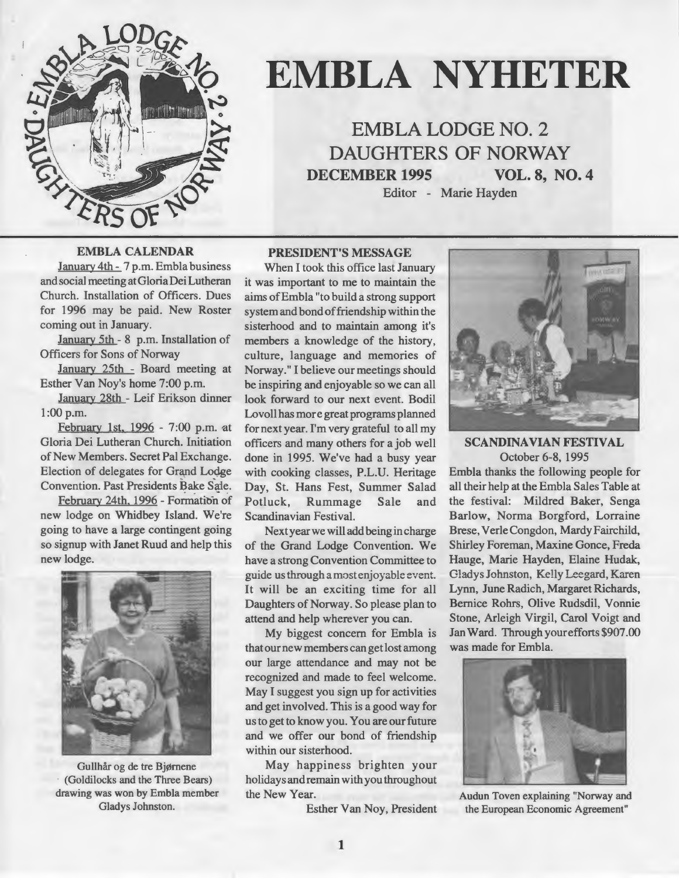

# **EMBLA NYHETER**

**EMBLA LODGE NO. 2 DAUGHTERS OF NORWAY DECEMBER 1995 VOL. 8, NO. 4** 

Editor - Marie Hayden

# **EMBLA CALENDAR**

January 4th - 7 p.m. Embla business and social meeting at GloriaDeiLutheran Church. Installation of Officers. Dues for 1996 may be paid. New Roster coming out in January.

January Sth - 8 p.m. Installation of Officers for Sons of Norway

January 25th - Board meeting at Esther Van Noy's home 7:00 p.m.

January 28th - Leif Erikson dinner 1:00 p.m.

February Ist. 1996 - 7:00 p.m. at Gloria Dei Lutheran Church. Initiation of New Members. Secret Pal Exchange. Election of delegates for Grand Lodge Convention. Past Presidents Bake Sak.

February 24th. 1996 - Formation of new lodge on Whidbey Island. We're going to have a large contingent going so signup with Janet Ruud and help this new lodge.



Gullhår og de tre Bjørnene (Goldilocks and the Three Bears) drawing was won by Embla member Gladys Johnston.

#### **PRESIDENT'S MESSAGE**

When I took this office last January it was important to me to maintain the aims of Embla "to build a strong support system and bond of friendship within the sisterhood and to maintain among it's members a knowledge of the history, culture, language and memories of Norway." I believe our meetings should be inspiring and enjoyable so we can all look forward to our next event. Bodil Lo voll has more great programs planned for next year. I'm very grateful to all my officers and many others for a job well done in 1995. We've had a busy year with cooking classes, P.L.U. Heritage Day, St. Hans Fest, Summer Salad Potluck, Rummage Sale and Scandinavian Festival.

Next year we will add being in charge of the Grand Lodge Convention. We have a strong Convention Committee to **guide us through a most enjoyablc event.**  It will be an exciting time for all Daughters of Norway. So please plan to attend and help wherever you can.

My biggest concern for Embla is that our new members can get lost among our large attendance and may not be recognized and made to feel welcome. May I suggest you sign up for activities and get involved. This is a good way for us to get to know you. You are our future and we offer our bond of friendship within our sisterhood.

May happiness brighten your holidays and remain with you throughout the New Year.

Esther Van Noy, President



**SCANDINAVIAN FESTIVAL**  October 6-8, 1995 Embla thanks the following people for

all their help at the Embla Sales Table at the festival: Mildred Baker, Senga Barlow, Norma Borgford, Lorraine Brese, Verle Congdon, Mardy Fairchild, Shirley Foreman, Maxine Gonce, Freda Hauge, Marie Hayden, Elaine Hudak, Gladys Johnston, Ke!ly Leegard, Karen Lynn, June Radich, Margaret Richards, Bernice Rohrs, Olive Rudsdil, Vonnie Stone, Arleigh Virgil, Carol Voigt and Jan Ward. Through your efforts \$907.00 was made for Embla.



Audun Toven explaining "Norway and the European Economic Agreement"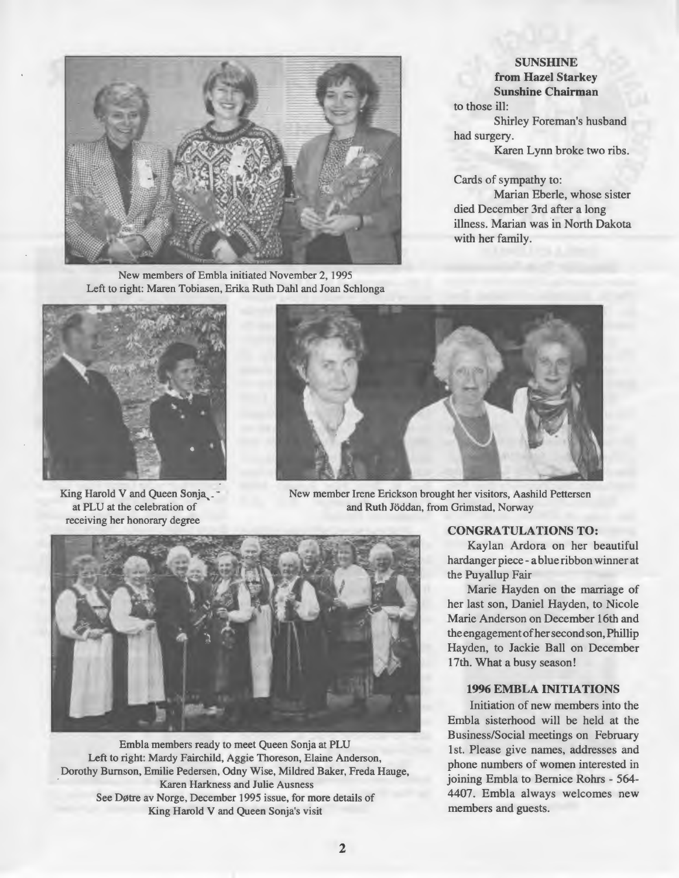

New members of Embla initiated November 2, 1995 Left to right: Maren Tobiasen, Erika Ruth Dahl and Joan Schlonga

# **SUNSHINE from Hazel Starkey Sunshine Chairman**  to those ill: Shirley Foreman's husband had surgery. Karen Lynn broke two ribs.

Cards of sympathy to:

Marian Eberle, whose sister died December 3rd after a long illness. Marian was in North Dakota with her family.



King Harold V and Queen Sonja. at PLU at the celebration of receiving her honorary degree



New member Irene Erickson brought her visitors, Aashild Pettersen and Ruth Jöddan, from Grimstad, Norway



Embla members ready to meet Queen Sonja at PLU Left to right: Mardy Fairchild, Aggie Thoreson, Elaine Anderson, Dorothy Bumson, Emilie Pedersen, Odny Wise, Mildred Baker, Freda Hauge, Karen Harkness and Julie Ausness See Døtre av Norge, December 1995 issue, for more details of King Harold V and Queen Sonja's visit

# **CONGRATULATIONS TO:**

Kaylan Ardora on her beautiful hardanger piece - a blue ribbon winner at the Puyallup Fair

Marie Hayden on the marriage of her last son, Daniel Hayden, to Nicole Marie Anderson on December 16th and the engagement of her second son, Phillip Hayden, to Jackie Ball on December 17th. What a busy season!

#### **1996 EMBLA INITIA TIONS**

Initiation of new members into the Embla sisterhood will be held at the Business/Social meetings on February 1st. Please give names, addresses and phone numbers of women interested in joining Embla to Bemice Rohrs - 564- 4407. Embla always welcomes new members and guests.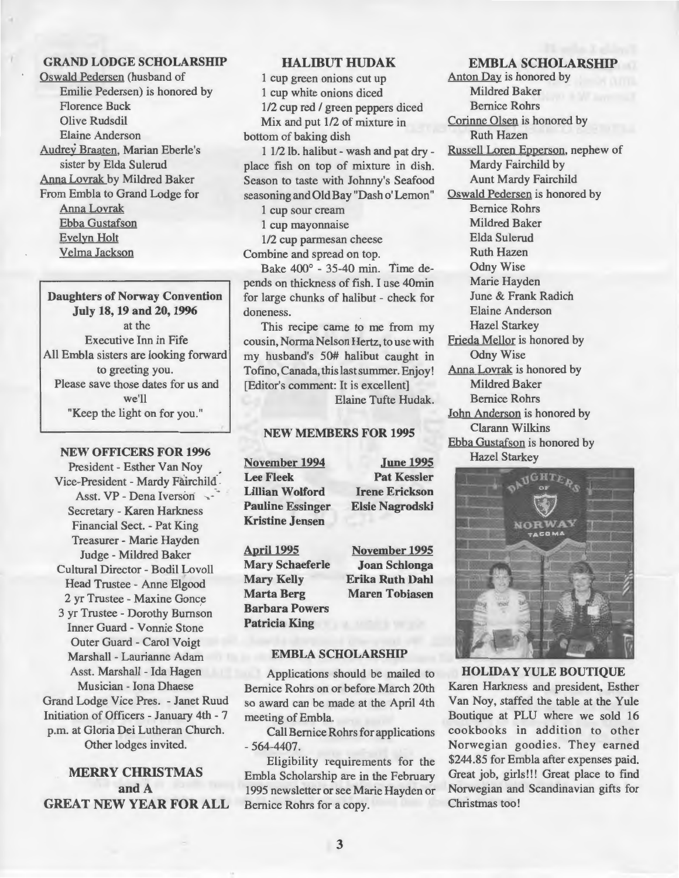# **GRAND LODGE SCHOLARSHIP**

Oswald Pedersen (husband of Emilie Pedersen) is honored by Florence Buck Olive Rudsdil Elaine Anderson Audrey Braaten, Marian Eberle's sister by Elda Sulerud Anna Lovrak by Mildred Baker From Embla to Grand Lodge for Anna Lovrak Ebba Gustafson Evelyn Holt Velma Jackson

**Daughters of Norway Convention July 18, 19 and 20, 1996**  at the Executive Inn in Fife All Embla sisters are looking forward to greeting you. Please save those dates for us and we'll "Keep the light on for you."

#### **NEW OFFICERS FOR 1996**

President - Esther Van Noy . Vice-President - Mardy Fairchild. Asst. VP - Dena Iverson , -Secretary - Karen Harkness Financial Sect. - Pat King Treasurer - Marie Hayden Judge - Mildred Baker Cultural Director - Bodil Lovoll Head Trustee - Anne Elgood 2 yr Trustee - Maxine Gonce 3 yr Trustee - Dorothy Burnson Inner Guard - Vonnie Stone Outer Guard - Carol Voigt Marshall - Laurianne Adam Asst. Marshall - Ida Hagen Musician - Iona Dhaese Grand Lodge Vice Pres. - Janet Ruud Initiation of Officers - January 4th - 7 p.m. at Gloria Dei Lutheran Church.

Other lodges invited.

**MERRY CHRISTMAS andA GREAT NEW YEAR FOR ALL** 

## **HALIBUT HUDAK**

**1** cup green onions cut up 1 cup white onions diced 1/2 cup red / green peppers diced Mix and put 1/2 of mixture in bottom of baking dish

1 1/2 lb. halibut - wash and pat dry place fish on top of mixture in dish. Season to taste with Johnny's Seafood seasoning and Old Bay "Dash o' Lemon"

1 cup sour cream

1 cup mayonnaise

1/2 cup parmesan cheese Combine and spread on top.

Bake 400° - 35-40 min. Time depends on thickness of fish. I use 40min for large chunks of halibut - check for doneness.

This recipe came to me from my cousin, Norma Nelson Hertz, to use with my husband's 50# halibut caught in Tofino, Canada, this last summer. Enjoy ! [Editor's comment: It is excellent]

Elaine Tufte Hudak.

#### **NEW MEMBERS FOR 1995**

**November 1994 Lee Fleek**  Lillian Wolford **Pauline Essinger Kristine Jensen** 

**.Tune 1995 Pat Kessler Irene Erickson Elsie Nagrodski** 

**April 1995 Mary Schaeferle Mary Kelly Marta Berg Barbara Powers Patricia King** 

**November 1995 Joan Schlonga Erika Ruth Dahl Maren Tobiasen** 

# **EMBLA SCHOLARSHIP**

Applications should be mailed to Bernice Rohrs on or before March 20th so award can be made at the April 4th meeting of Embla.

Call Bemice Rohrs for applications - 564-4407.

Eligibility requirements for the Embla Scholarship are in the February 1995 newsletter or see Marie Hayden or Bernice Rohrs for a copy.

# **EMBLA SCHOLARSHIP**

Anton Day is honored by Mildred Baker Bemice Rohrs Corinne Olsen is honored by Ruth Hazen Russell Loren Epperson, nephew of Mardy Fairchild by Aunt Mardy Fairchild Oswald Pedersen is honored by Bemice Rohrs Mildred Baker Elda Sulerud Ruth Hazen Odny Wise Marie Hayden June & Frank Radich Elaine Anderson Hazel Starkey Frieda Mellor is honored by Odny Wise Anna Lovrak is honored by Mildred Baker Bernice Rohrs John Anderson is honored by Clarann Wilkins Ebba Gustafson is honored by Hazel Starkey



**HOLIDAY YULE BOUTIQUE** 

Karen Harkness and president, Esther Van Noy, staffed the table at the Yule Boutique at PLU where we sold 16 cookbooks in addition to other Norwegian goodies. They earned \$244.85 for Embla after expenses paid. Great job, girls!!! Great place to find Norwegian and Scandinavian gifts for Christmas toa!